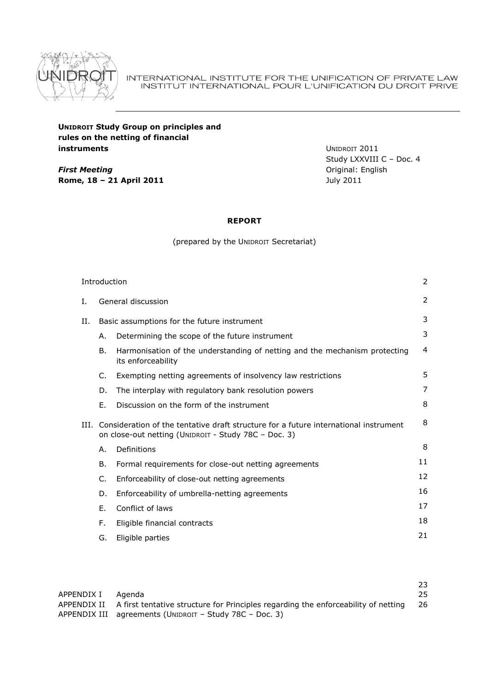

# INTERNATIONAL INSTITUTE FOR THE UNIFICATION OF PRIVATE LAW<br>INSTITUT INTERNATIONAL POUR L'UNIFICATION DU DROIT PRIVE

## **UNIDROIT Study Group on principles and rules on the netting of financial instruments**

*First Meeting* **Rome, 18 – 21 April 2011**

UNIDROIT 2011 Study LXXVIII C – Doc. 4 Original: English July 2011

#### **REPORT**

(prepared by the UNIDROIT Secretariat)

|     | Introduction                                                                                                                                 |                                                                                                  |    |  |
|-----|----------------------------------------------------------------------------------------------------------------------------------------------|--------------------------------------------------------------------------------------------------|----|--|
| Ι.  | General discussion                                                                                                                           |                                                                                                  |    |  |
| Н.  | Basic assumptions for the future instrument                                                                                                  |                                                                                                  | 3  |  |
|     | А.                                                                                                                                           | Determining the scope of the future instrument                                                   | 3  |  |
|     | В.                                                                                                                                           | Harmonisation of the understanding of netting and the mechanism protecting<br>its enforceability | 4  |  |
|     | C.                                                                                                                                           | Exempting netting agreements of insolvency law restrictions                                      | 5  |  |
|     | D.                                                                                                                                           | The interplay with regulatory bank resolution powers                                             | 7  |  |
|     | Е.                                                                                                                                           | Discussion on the form of the instrument                                                         | 8  |  |
| HL. | Consideration of the tentative draft structure for a future international instrument<br>on close-out netting (UNIDROIT - Study 78C – Doc. 3) |                                                                                                  | 8  |  |
|     | А.                                                                                                                                           | Definitions                                                                                      | 8  |  |
|     | В.                                                                                                                                           | Formal requirements for close-out netting agreements                                             | 11 |  |
|     | C.                                                                                                                                           | Enforceability of close-out netting agreements                                                   | 12 |  |
|     | D.                                                                                                                                           | Enforceability of umbrella-netting agreements                                                    | 16 |  |
|     | F.                                                                                                                                           | Conflict of laws                                                                                 | 17 |  |
|     | F.                                                                                                                                           | Eligible financial contracts                                                                     | 18 |  |
|     | G.                                                                                                                                           | Eligible parties                                                                                 | 21 |  |

|            |                                                                                                | 23 |
|------------|------------------------------------------------------------------------------------------------|----|
| APPENDIX I | Agenda                                                                                         | 25 |
|            | APPENDIX II A first tentative structure for Principles regarding the enforceability of netting | 26 |
|            | APPENDIX III agreements (UNIDROIT $-$ Study 78C $-$ Doc. 3)                                    |    |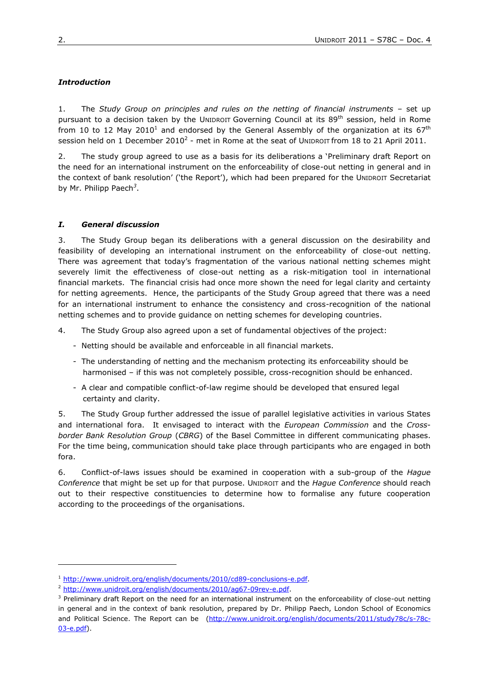## <span id="page-1-0"></span>*Introduction*

1. The *Study Group on principles and rules on the netting of financial instruments* – set up pursuant to a decision taken by the UNIDROIT Governing Council at its 89<sup>th</sup> session, held in Rome from 10 to 12 May 2010<sup>1</sup> and endorsed by the General Assembly of the organization at its  $67<sup>th</sup>$ session held on 1 December 2010<sup>2</sup> - met in Rome at the seat of UNIDROIT from 18 to 21 April 2011.

2. The study group agreed to use as a basis for its deliberations a "Preliminary draft Report on the need for an international instrument on the enforceability of close-out netting in general and in the context of bank resolution" ("the Report"), which had been prepared for the UNIDROIT Secretariat by Mr. Philipp Paech*<sup>3</sup>* .

#### <span id="page-1-1"></span>*I. General discussion*

3. The Study Group began its deliberations with a general discussion on the desirability and feasibility of developing an international instrument on the enforceability of close-out netting. There was agreement that today"s fragmentation of the various national netting schemes might severely limit the effectiveness of close-out netting as a risk-mitigation tool in international financial markets. The financial crisis had once more shown the need for legal clarity and certainty for netting agreements. Hence, the participants of the Study Group agreed that there was a need for an international instrument to enhance the consistency and cross-recognition of the national netting schemes and to provide guidance on netting schemes for developing countries.

- 4. The Study Group also agreed upon a set of fundamental objectives of the project:
	- Netting should be available and enforceable in all financial markets.
	- The understanding of netting and the mechanism protecting its enforceability should be harmonised – if this was not completely possible, cross-recognition should be enhanced.
	- A clear and compatible conflict-of-law regime should be developed that ensured legal certainty and clarity.

5. The Study Group further addressed the issue of parallel legislative activities in various States and international fora. It envisaged to interact with the *European Commission* and the *Crossborder Bank Resolution Group* (*CBRG*) of the Basel Committee in different communicating phases. For the time being, communication should take place through participants who are engaged in both fora.

6. Conflict-of-laws issues should be examined in cooperation with a sub-group of the *Hague Conference* that might be set up for that purpose. UNIDROIT and the *Hague Conference* should reach out to their respective constituencies to determine how to formalise any future cooperation according to the proceedings of the organisations.

<sup>&</sup>lt;sup>1</sup> [http://www.unidroit.org/english/documents/2010/cd89-conclusions-e.pdf.](http://www.unidroit.org/english/documents/2010/cd89-conclusions-e.pdf)

<sup>2</sup> [http://www.unidroit.org/english/documents/2010/ag67-09rev-e.pdf.](http://www.unidroit.org/english/documents/2010/ag67-09rev-e.pdf)

<sup>&</sup>lt;sup>3</sup> Preliminary draft Report on the need for an international instrument on the enforceability of close-out netting in general and in the context of bank resolution, prepared by Dr. Philipp Paech, London School of Economics and Political Science. The Report can be [\(http://www.unidroit.org/english/documents/2011/study78c/s-78c-](http://www.unidroit.org/english/documents/2011/study78c/s-78c-03-e.pdf)[03-e.pdf\)](http://www.unidroit.org/english/documents/2011/study78c/s-78c-03-e.pdf).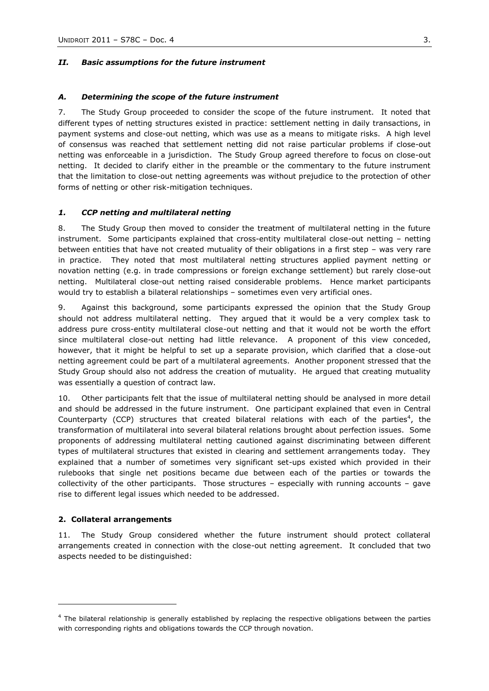#### <span id="page-2-1"></span><span id="page-2-0"></span>*II. Basic assumptions for the future instrument*

#### *A. Determining the scope of the future instrument*

7. The Study Group proceeded to consider the scope of the future instrument. It noted that different types of netting structures existed in practice: settlement netting in daily transactions, in payment systems and close-out netting, which was use as a means to mitigate risks. A high level of consensus was reached that settlement netting did not raise particular problems if close-out netting was enforceable in a jurisdiction. The Study Group agreed therefore to focus on close-out netting. It decided to clarify either in the preamble or the commentary to the future instrument that the limitation to close-out netting agreements was without prejudice to the protection of other forms of netting or other risk-mitigation techniques.

#### *1. CCP netting and multilateral netting*

8. The Study Group then moved to consider the treatment of multilateral netting in the future instrument. Some participants explained that cross-entity multilateral close-out netting – netting between entities that have not created mutuality of their obligations in a first step – was very rare in practice. They noted that most multilateral netting structures applied payment netting or novation netting (e.g. in trade compressions or foreign exchange settlement) but rarely close-out netting. Multilateral close-out netting raised considerable problems. Hence market participants would try to establish a bilateral relationships – sometimes even very artificial ones.

9. Against this background, some participants expressed the opinion that the Study Group should not address multilateral netting. They argued that it would be a very complex task to address pure cross-entity multilateral close-out netting and that it would not be worth the effort since multilateral close-out netting had little relevance. A proponent of this view conceded, however, that it might be helpful to set up a separate provision, which clarified that a close-out netting agreement could be part of a multilateral agreements. Another proponent stressed that the Study Group should also not address the creation of mutuality. He argued that creating mutuality was essentially a question of contract law.

10. Other participants felt that the issue of multilateral netting should be analysed in more detail and should be addressed in the future instrument. One participant explained that even in Central Counterparty (CCP) structures that created bilateral relations with each of the parties<sup>4</sup>, the transformation of multilateral into several bilateral relations brought about perfection issues. Some proponents of addressing multilateral netting cautioned against discriminating between different types of multilateral structures that existed in clearing and settlement arrangements today. They explained that a number of sometimes very significant set-ups existed which provided in their rulebooks that single net positions became due between each of the parties or towards the collectivity of the other participants. Those structures – especially with running accounts – gave rise to different legal issues which needed to be addressed.

#### **2. Collateral arrangements**

-

11. The Study Group considered whether the future instrument should protect collateral arrangements created in connection with the close-out netting agreement. It concluded that two aspects needed to be distinguished:

 $<sup>4</sup>$  The bilateral relationship is generally established by replacing the respective obligations between the parties</sup> with corresponding rights and obligations towards the CCP through novation.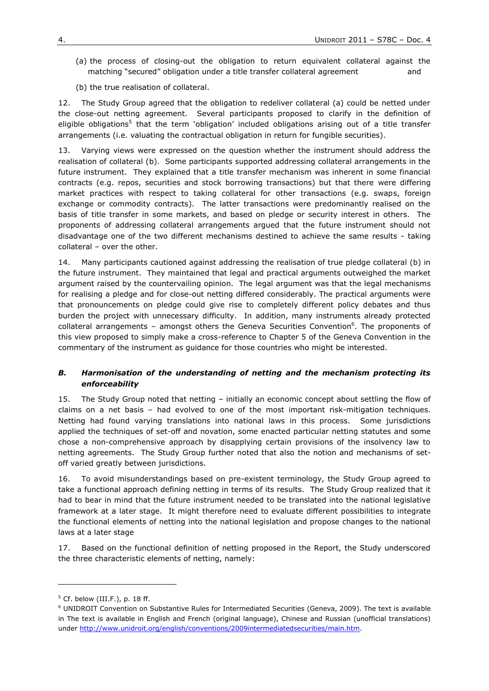(a) the process of closing-out the obligation to return equivalent collateral against the matching "secured" obligation under a title transfer collateral agreement and

(b) the true realisation of collateral.

12. The Study Group agreed that the obligation to redeliver collateral (a) could be netted under the close-out netting agreement. Several participants proposed to clarify in the definition of eligible obligations<sup>5</sup> that the term `obligation' included obligations arising out of a title transfer arrangements (i.e. valuating the contractual obligation in return for fungible securities).

13. Varying views were expressed on the question whether the instrument should address the realisation of collateral (b). Some participants supported addressing collateral arrangements in the future instrument. They explained that a title transfer mechanism was inherent in some financial contracts (e.g. repos, securities and stock borrowing transactions) but that there were differing market practices with respect to taking collateral for other transactions (e.g. swaps, foreign exchange or commodity contracts). The latter transactions were predominantly realised on the basis of title transfer in some markets, and based on pledge or security interest in others. The proponents of addressing collateral arrangements argued that the future instrument should not disadvantage one of the two different mechanisms destined to achieve the same results - taking collateral – over the other.

14. Many participants cautioned against addressing the realisation of true pledge collateral (b) in the future instrument. They maintained that legal and practical arguments outweighed the market argument raised by the countervailing opinion. The legal argument was that the legal mechanisms for realising a pledge and for close-out netting differed considerably. The practical arguments were that pronouncements on pledge could give rise to completely different policy debates and thus burden the project with unnecessary difficulty. In addition, many instruments already protected collateral arrangements – amongst others the Geneva Securities Convention<sup>6</sup>. The proponents of this view proposed to simply make a cross-reference to Chapter 5 of the Geneva Convention in the commentary of the instrument as guidance for those countries who might be interested.

## <span id="page-3-0"></span>*B. Harmonisation of the understanding of netting and the mechanism protecting its enforceability*

15. The Study Group noted that netting – initially an economic concept about settling the flow of claims on a net basis – had evolved to one of the most important risk-mitigation techniques. Netting had found varying translations into national laws in this process. Some jurisdictions applied the techniques of set-off and novation, some enacted particular netting statutes and some chose a non-comprehensive approach by disapplying certain provisions of the insolvency law to netting agreements. The Study Group further noted that also the notion and mechanisms of setoff varied greatly between jurisdictions.

16. To avoid misunderstandings based on pre-existent terminology, the Study Group agreed to take a functional approach defining netting in terms of its results. The Study Group realized that it had to bear in mind that the future instrument needed to be translated into the national legislative framework at a later stage. It might therefore need to evaluate different possibilities to integrate the functional elements of netting into the national legislation and propose changes to the national laws at a later stage

17. Based on the functional definition of netting proposed in the Report, the Study underscored the three characteristic elements of netting, namely:

 $5$  Cf. below (III.F.), p. 18 ff.

<sup>6</sup> UNIDROIT Convention on Substantive Rules for Intermediated Securities (Geneva, 2009). The text is available in The text is available in English and French (original language), Chinese and Russian (unofficial translations) under [http://www.unidroit.org/english/conventions/2009intermediatedsecurities/main.htm.](http://www.unidroit.org/english/conventions/2009intermediatedsecurities/main.htm)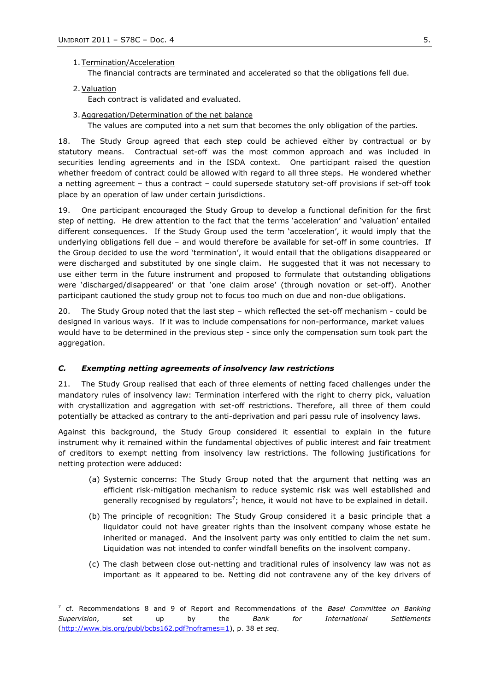#### 1.Termination/Acceleration

The financial contracts are terminated and accelerated so that the obligations fell due.

## 2.Valuation

-

Each contract is validated and evaluated.

#### 3.Aggregation/Determination of the net balance

The values are computed into a net sum that becomes the only obligation of the parties.

18. The Study Group agreed that each step could be achieved either by contractual or by statutory means. Contractual set-off was the most common approach and was included in securities lending agreements and in the ISDA context. One participant raised the question whether freedom of contract could be allowed with regard to all three steps. He wondered whether a netting agreement – thus a contract – could supersede statutory set-off provisions if set-off took place by an operation of law under certain jurisdictions.

19. One participant encouraged the Study Group to develop a functional definition for the first step of netting. He drew attention to the fact that the terms 'acceleration' and 'valuation' entailed different consequences. If the Study Group used the term "acceleration", it would imply that the underlying obligations fell due – and would therefore be available for set-off in some countries. If the Group decided to use the word "termination", it would entail that the obligations disappeared or were discharged and substituted by one single claim. He suggested that it was not necessary to use either term in the future instrument and proposed to formulate that outstanding obligations were "discharged/disappeared" or that "one claim arose" (through novation or set-off). Another participant cautioned the study group not to focus too much on due and non-due obligations.

20. The Study Group noted that the last step – which reflected the set-off mechanism - could be designed in various ways. If it was to include compensations for non-performance, market values would have to be determined in the previous step - since only the compensation sum took part the aggregation.

#### <span id="page-4-0"></span>*C. Exempting netting agreements of insolvency law restrictions*

21. The Study Group realised that each of three elements of netting faced challenges under the mandatory rules of insolvency law: Termination interfered with the right to cherry pick, valuation with crystallization and aggregation with set-off restrictions. Therefore, all three of them could potentially be attacked as contrary to the anti-deprivation and pari passu rule of insolvency laws.

Against this background, the Study Group considered it essential to explain in the future instrument why it remained within the fundamental objectives of public interest and fair treatment of creditors to exempt netting from insolvency law restrictions. The following justifications for netting protection were adduced:

- (a) Systemic concerns: The Study Group noted that the argument that netting was an efficient risk-mitigation mechanism to reduce systemic risk was well established and generally recognised by regulators<sup>7</sup>; hence, it would not have to be explained in detail.
- (b) The principle of recognition: The Study Group considered it a basic principle that a liquidator could not have greater rights than the insolvent company whose estate he inherited or managed. And the insolvent party was only entitled to claim the net sum. Liquidation was not intended to confer windfall benefits on the insolvent company.
- (c) The clash between close out-netting and traditional rules of insolvency law was not as important as it appeared to be. Netting did not contravene any of the key drivers of

<sup>7</sup> cf. Recommendations 8 and 9 of Report and Recommendations of the *Basel Committee on Banking Supervision*, set up by the *Bank for International Settlements* [\(http://www.bis.org/publ/bcbs162.pdf?noframes=1\)](http://www.bis.org/publ/bcbs162.pdf?noframes=1), p. 38 *et seq*.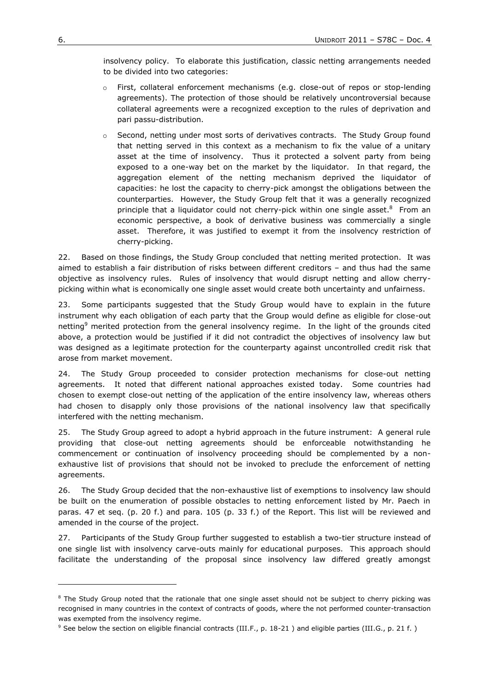insolvency policy. To elaborate this justification, classic netting arrangements needed to be divided into two categories:

- o First, collateral enforcement mechanisms (e.g. close-out of repos or stop-lending agreements). The protection of those should be relatively uncontroversial because collateral agreements were a recognized exception to the rules of deprivation and pari passu-distribution.
- Second, netting under most sorts of derivatives contracts. The Study Group found that netting served in this context as a mechanism to fix the value of a unitary asset at the time of insolvency. Thus it protected a solvent party from being exposed to a one-way bet on the market by the liquidator. In that regard, the aggregation element of the netting mechanism deprived the liquidator of capacities: he lost the capacity to cherry-pick amongst the obligations between the counterparties. However, the Study Group felt that it was a generally recognized principle that a liquidator could not cherry-pick within one single asset. $8$  From an economic perspective, a book of derivative business was commercially a single asset. Therefore, it was justified to exempt it from the insolvency restriction of cherry-picking.

22. Based on those findings, the Study Group concluded that netting merited protection. It was aimed to establish a fair distribution of risks between different creditors – and thus had the same objective as insolvency rules. Rules of insolvency that would disrupt netting and allow cherrypicking within what is economically one single asset would create both uncertainty and unfairness.

23. Some participants suggested that the Study Group would have to explain in the future instrument why each obligation of each party that the Group would define as eligible for close-out netting<sup>9</sup> merited protection from the general insolvency regime. In the light of the grounds cited above, a protection would be justified if it did not contradict the objectives of insolvency law but was designed as a legitimate protection for the counterparty against uncontrolled credit risk that arose from market movement.

24. The Study Group proceeded to consider protection mechanisms for close-out netting agreements. It noted that different national approaches existed today. Some countries had chosen to exempt close-out netting of the application of the entire insolvency law, whereas others had chosen to disapply only those provisions of the national insolvency law that specifically interfered with the netting mechanism.

25. The Study Group agreed to adopt a hybrid approach in the future instrument: A general rule providing that close-out netting agreements should be enforceable notwithstanding he commencement or continuation of insolvency proceeding should be complemented by a nonexhaustive list of provisions that should not be invoked to preclude the enforcement of netting agreements.

26. The Study Group decided that the non-exhaustive list of exemptions to insolvency law should be built on the enumeration of possible obstacles to netting enforcement listed by Mr. Paech in paras. 47 et seq. (p. 20 f.) and para. 105 (p. 33 f.) of the Report. This list will be reviewed and amended in the course of the project.

27. Participants of the Study Group further suggested to establish a two-tier structure instead of one single list with insolvency carve-outs mainly for educational purposes. This approach should facilitate the understanding of the proposal since insolvency law differed greatly amongst

<sup>&</sup>lt;sup>8</sup> The Study Group noted that the rationale that one single asset should not be subject to cherry picking was recognised in many countries in the context of contracts of goods, where the not performed counter-transaction was exempted from the insolvency regime.

<sup>&</sup>lt;sup>9</sup> See below the section on eligible financial contracts (III.F., p. 18-21) and eligible parties (III.G., p. 21 f.)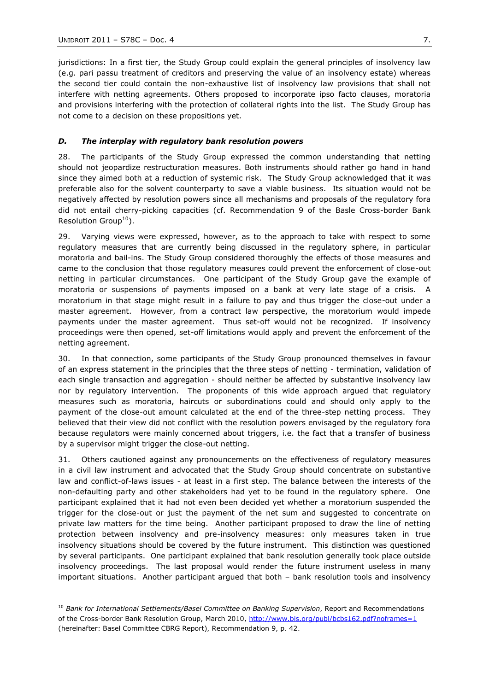-

jurisdictions: In a first tier, the Study Group could explain the general principles of insolvency law (e.g. pari passu treatment of creditors and preserving the value of an insolvency estate) whereas the second tier could contain the non-exhaustive list of insolvency law provisions that shall not interfere with netting agreements. Others proposed to incorporate ipso facto clauses, moratoria and provisions interfering with the protection of collateral rights into the list. The Study Group has not come to a decision on these propositions yet.

#### <span id="page-6-0"></span>*D. The interplay with regulatory bank resolution powers*

28. The participants of the Study Group expressed the common understanding that netting should not jeopardize restructuration measures. Both instruments should rather go hand in hand since they aimed both at a reduction of systemic risk. The Study Group acknowledged that it was preferable also for the solvent counterparty to save a viable business. Its situation would not be negatively affected by resolution powers since all mechanisms and proposals of the regulatory fora did not entail cherry-picking capacities (cf. Recommendation 9 of the Basle Cross-border Bank Resolution Group<sup>10</sup>).

29. Varying views were expressed, however, as to the approach to take with respect to some regulatory measures that are currently being discussed in the regulatory sphere, in particular moratoria and bail-ins. The Study Group considered thoroughly the effects of those measures and came to the conclusion that those regulatory measures could prevent the enforcement of close-out netting in particular circumstances. One participant of the Study Group gave the example of moratoria or suspensions of payments imposed on a bank at very late stage of a crisis. A moratorium in that stage might result in a failure to pay and thus trigger the close-out under a master agreement. However, from a contract law perspective, the moratorium would impede payments under the master agreement. Thus set-off would not be recognized. If insolvency proceedings were then opened, set-off limitations would apply and prevent the enforcement of the netting agreement.

30. In that connection, some participants of the Study Group pronounced themselves in favour of an express statement in the principles that the three steps of netting - termination, validation of each single transaction and aggregation - should neither be affected by substantive insolvency law nor by regulatory intervention. The proponents of this wide approach argued that regulatory measures such as moratoria, haircuts or subordinations could and should only apply to the payment of the close-out amount calculated at the end of the three-step netting process. They believed that their view did not conflict with the resolution powers envisaged by the regulatory fora because regulators were mainly concerned about triggers, i.e. the fact that a transfer of business by a supervisor might trigger the close-out netting.

31. Others cautioned against any pronouncements on the effectiveness of regulatory measures in a civil law instrument and advocated that the Study Group should concentrate on substantive law and conflict-of-laws issues - at least in a first step. The balance between the interests of the non-defaulting party and other stakeholders had yet to be found in the regulatory sphere. One participant explained that it had not even been decided yet whether a moratorium suspended the trigger for the close-out or just the payment of the net sum and suggested to concentrate on private law matters for the time being. Another participant proposed to draw the line of netting protection between insolvency and pre-insolvency measures: only measures taken in true insolvency situations should be covered by the future instrument. This distinction was questioned by several participants. One participant explained that bank resolution generally took place outside insolvency proceedings. The last proposal would render the future instrument useless in many important situations. Another participant argued that both – bank resolution tools and insolvency

<sup>10</sup> *Bank for International Settlements/Basel Committee on Banking Supervision*, Report and Recommendations of the Cross-border Bank Resolution Group, March 2010,<http://www.bis.org/publ/bcbs162.pdf?noframes=1> (hereinafter: Basel Committee CBRG Report), Recommendation 9, p. 42.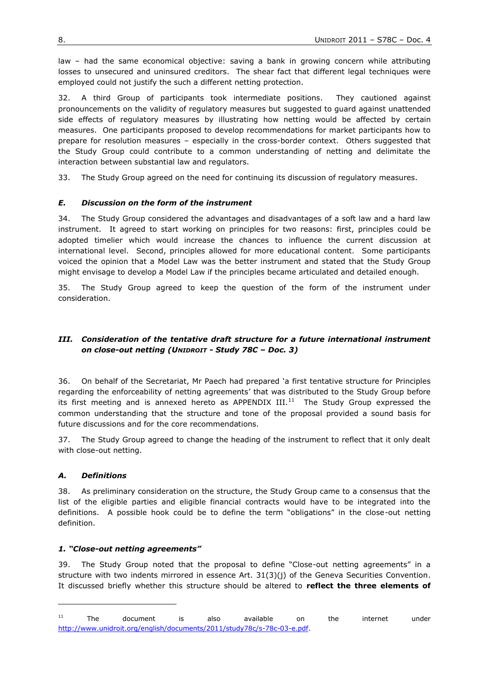law – had the same economical objective: saving a bank in growing concern while attributing losses to unsecured and uninsured creditors. The shear fact that different legal techniques were employed could not justify the such a different netting protection.

32. A third Group of participants took intermediate positions. They cautioned against pronouncements on the validity of regulatory measures but suggested to guard against unattended side effects of regulatory measures by illustrating how netting would be affected by certain measures. One participants proposed to develop recommendations for market participants how to prepare for resolution measures – especially in the cross-border context. Others suggested that the Study Group could contribute to a common understanding of netting and delimitate the interaction between substantial law and regulators.

<span id="page-7-0"></span>33. The Study Group agreed on the need for continuing its discussion of regulatory measures.

#### *E. Discussion on the form of the instrument*

34. The Study Group considered the advantages and disadvantages of a soft law and a hard law instrument. It agreed to start working on principles for two reasons: first, principles could be adopted timelier which would increase the chances to influence the current discussion at international level. Second, principles allowed for more educational content. Some participants voiced the opinion that a Model Law was the better instrument and stated that the Study Group might envisage to develop a Model Law if the principles became articulated and detailed enough.

35. The Study Group agreed to keep the question of the form of the instrument under consideration.

## <span id="page-7-1"></span>*III. Consideration of the tentative draft structure for a future international instrument on close-out netting (UNIDROIT - Study 78C – Doc. 3)*

36. On behalf of the Secretariat, Mr Paech had prepared 'a first tentative structure for Principles regarding the enforceability of netting agreements' that was distributed to the Study Group before its first meeting and is annexed hereto as APPENDIX  $III.^{11}$  The Study Group expressed the common understanding that the structure and tone of the proposal provided a sound basis for future discussions and for the core recommendations.

37. The Study Group agreed to change the heading of the instrument to reflect that it only dealt with close-out netting.

#### <span id="page-7-2"></span>*A. Definitions*

-

38. As preliminary consideration on the structure, the Study Group came to a consensus that the list of the eligible parties and eligible financial contracts would have to be integrated into the definitions. A possible hook could be to define the term "obligations" in the close-out netting definition.

#### *1. "Close-out netting agreements"*

39. The Study Group noted that the proposal to define "Close-out netting agreements" in a structure with two indents mirrored in essence Art. 31(3)(j) of the Geneva Securities Convention. It discussed briefly whether this structure should be altered to **reflect the three elements of** 

<sup>&</sup>lt;sup>11</sup> The document is also available on the internet under [http://www.unidroit.org/english/documents/2011/study78c/s-78c-03-e.pdf.](http://www.unidroit.org/english/documents/2011/study78c/s-78c-03-e.pdf)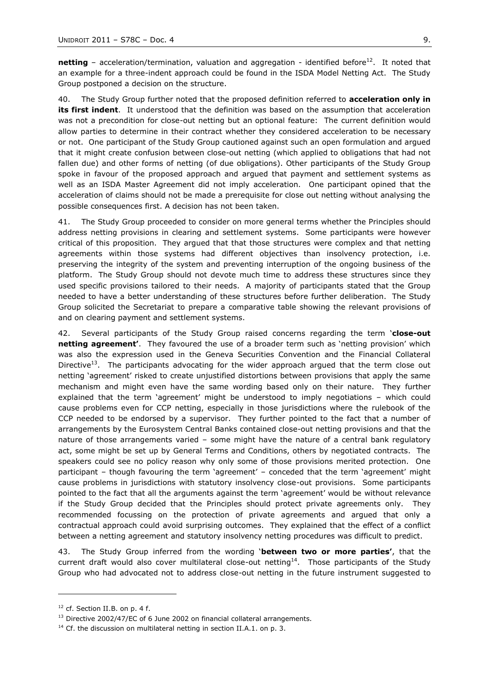netting – acceleration/termination, valuation and aggregation - identified before<sup>12</sup>. It noted that an example for a three-indent approach could be found in the ISDA Model Netting Act. The Study Group postponed a decision on the structure.

40. The Study Group further noted that the proposed definition referred to **acceleration only in its first indent**. It understood that the definition was based on the assumption that acceleration was not a precondition for close-out netting but an optional feature: The current definition would allow parties to determine in their contract whether they considered acceleration to be necessary or not. One participant of the Study Group cautioned against such an open formulation and argued that it might create confusion between close-out netting (which applied to obligations that had not fallen due) and other forms of netting (of due obligations). Other participants of the Study Group spoke in favour of the proposed approach and argued that payment and settlement systems as well as an ISDA Master Agreement did not imply acceleration. One participant opined that the acceleration of claims should not be made a prerequisite for close out netting without analysing the possible consequences first. A decision has not been taken.

41. The Study Group proceeded to consider on more general terms whether the Principles should address netting provisions in clearing and settlement systems. Some participants were however critical of this proposition. They argued that that those structures were complex and that netting agreements within those systems had different objectives than insolvency protection, i.e. preserving the integrity of the system and preventing interruption of the ongoing business of the platform. The Study Group should not devote much time to address these structures since they used specific provisions tailored to their needs. A majority of participants stated that the Group needed to have a better understanding of these structures before further deliberation. The Study Group solicited the Secretariat to prepare a comparative table showing the relevant provisions of and on clearing payment and settlement systems.

42. Several participants of the Study Group raised concerns regarding the term "**close-out netting agreement'**. They favoured the use of a broader term such as 'netting provision' which was also the expression used in the Geneva Securities Convention and the Financial Collateral Directive<sup>13</sup>. The participants advocating for the wider approach argued that the term close out netting 'agreement' risked to create unjustified distortions between provisions that apply the same mechanism and might even have the same wording based only on their nature. They further explained that the term "agreement" might be understood to imply negotiations – which could cause problems even for CCP netting, especially in those jurisdictions where the rulebook of the CCP needed to be endorsed by a supervisor. They further pointed to the fact that a number of arrangements by the Eurosystem Central Banks contained close-out netting provisions and that the nature of those arrangements varied – some might have the nature of a central bank regulatory act, some might be set up by General Terms and Conditions, others by negotiated contracts. The speakers could see no policy reason why only some of those provisions merited protection. One participant – though favouring the term "agreement" – conceded that the term "agreement" might cause problems in jurisdictions with statutory insolvency close-out provisions. Some participants pointed to the fact that all the arguments against the term "agreement" would be without relevance if the Study Group decided that the Principles should protect private agreements only. They recommended focussing on the protection of private agreements and argued that only a contractual approach could avoid surprising outcomes. They explained that the effect of a conflict between a netting agreement and statutory insolvency netting procedures was difficult to predict.

43. The Study Group inferred from the wording "**between two or more parties'**, that the current draft would also cover multilateral close-out netting<sup>14</sup>. Those participants of the Study Group who had advocated not to address close-out netting in the future instrument suggested to

 $12$  cf. Section II.B. on p. 4 f.

 $13$  Directive 2002/47/EC of 6 June 2002 on financial collateral arrangements.

 $14$  Cf. the discussion on multilateral netting in section II.A.1. on p. 3.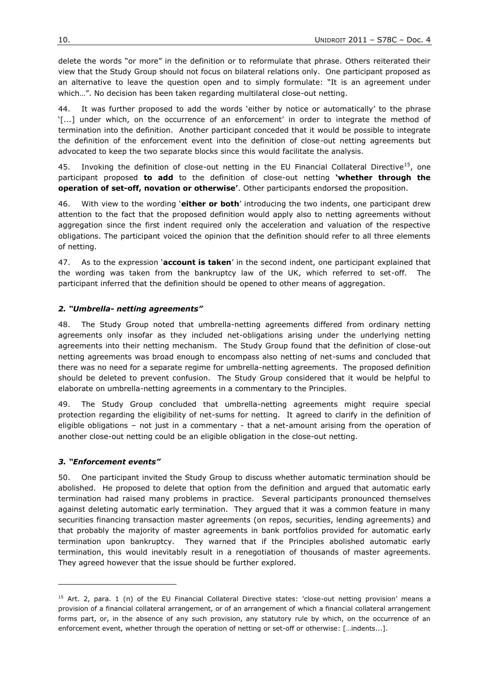delete the words "or more" in the definition or to reformulate that phrase. Others reiterated their view that the Study Group should not focus on bilateral relations only. One participant proposed as an alternative to leave the question open and to simply formulate: "It is an agreement under which...". No decision has been taken regarding multilateral close-out netting.

44. It was further proposed to add the words 'either by notice or automatically' to the phrase "[...] under which, on the occurrence of an enforcement" in order to integrate the method of termination into the definition. Another participant conceded that it would be possible to integrate the definition of the enforcement event into the definition of close-out netting agreements but advocated to keep the two separate blocks since this would facilitate the analysis.

45. Invoking the definition of close-out netting in the EU Financial Collateral Directive<sup>15</sup>, one participant proposed **to add** to the definition of close-out netting **'whether through the operation of set-off, novation or otherwise'**. Other participants endorsed the proposition.

46. With view to the wording "**either or both**" introducing the two indents, one participant drew attention to the fact that the proposed definition would apply also to netting agreements without aggregation since the first indent required only the acceleration and valuation of the respective obligations. The participant voiced the opinion that the definition should refer to all three elements of netting.

47. As to the expression "**account is taken**" in the second indent, one participant explained that the wording was taken from the bankruptcy law of the UK, which referred to set-off. The participant inferred that the definition should be opened to other means of aggregation.

#### *2. "Umbrella- netting agreements"*

48. The Study Group noted that umbrella-netting agreements differed from ordinary netting agreements only insofar as they included net-obligations arising under the underlying netting agreements into their netting mechanism. The Study Group found that the definition of close-out netting agreements was broad enough to encompass also netting of net-sums and concluded that there was no need for a separate regime for umbrella-netting agreements. The proposed definition should be deleted to prevent confusion. The Study Group considered that it would be helpful to elaborate on umbrella-netting agreements in a commentary to the Principles.

49. The Study Group concluded that umbrella-netting agreements might require special protection regarding the eligibility of net-sums for netting. It agreed to clarify in the definition of eligible obligations – not just in a commentary - that a net-amount arising from the operation of another close-out netting could be an eligible obligation in the close-out netting.

#### *3. "Enforcement events"*

-

50. One participant invited the Study Group to discuss whether automatic termination should be abolished. He proposed to delete that option from the definition and argued that automatic early termination had raised many problems in practice. Several participants pronounced themselves against deleting automatic early termination. They argued that it was a common feature in many securities financing transaction master agreements (on repos, securities, lending agreements) and that probably the majority of master agreements in bank portfolios provided for automatic early termination upon bankruptcy. They warned that if the Principles abolished automatic early termination, this would inevitably result in a renegotiation of thousands of master agreements. They agreed however that the issue should be further explored.

 $15$  Art. 2, para. 1 (n) of the EU Financial Collateral Directive states: 'close-out netting provision' means a provision of a financial collateral arrangement, or of an arrangement of which a financial collateral arrangement forms part, or, in the absence of any such provision, any statutory rule by which, on the occurrence of an enforcement event, whether through the operation of netting or set-off or otherwise: […indents...].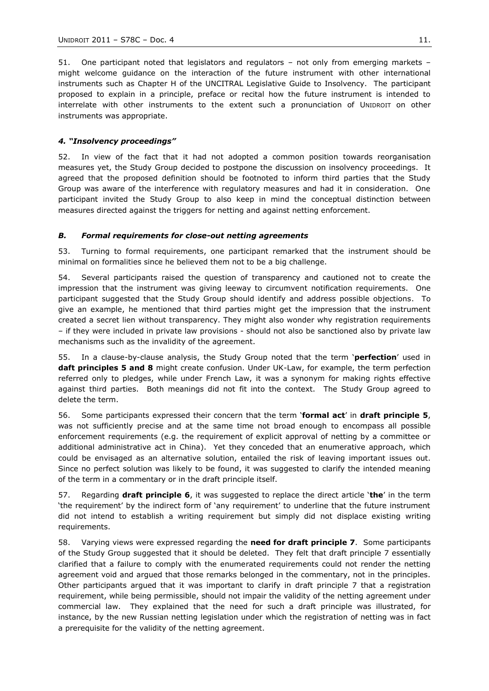51. One participant noted that legislators and regulators – not only from emerging markets – might welcome guidance on the interaction of the future instrument with other international instruments such as Chapter H of the UNCITRAL Legislative Guide to Insolvency. The participant proposed to explain in a principle, preface or recital how the future instrument is intended to interrelate with other instruments to the extent such a pronunciation of UNIDROIT on other instruments was appropriate.

#### *4. "Insolvency proceedings"*

52. In view of the fact that it had not adopted a common position towards reorganisation measures yet, the Study Group decided to postpone the discussion on insolvency proceedings. It agreed that the proposed definition should be footnoted to inform third parties that the Study Group was aware of the interference with regulatory measures and had it in consideration. One participant invited the Study Group to also keep in mind the conceptual distinction between measures directed against the triggers for netting and against netting enforcement.

#### <span id="page-10-0"></span>*B. Formal requirements for close-out netting agreements*

53. Turning to formal requirements, one participant remarked that the instrument should be minimal on formalities since he believed them not to be a big challenge.

54. Several participants raised the question of transparency and cautioned not to create the impression that the instrument was giving leeway to circumvent notification requirements. One participant suggested that the Study Group should identify and address possible objections. To give an example, he mentioned that third parties might get the impression that the instrument created a secret lien without transparency. They might also wonder why registration requirements – if they were included in private law provisions - should not also be sanctioned also by private law mechanisms such as the invalidity of the agreement.

55. In a clause-by-clause analysis, the Study Group noted that the term "**perfection**" used in **daft principles 5 and 8** might create confusion. Under UK-Law, for example, the term perfection referred only to pledges, while under French Law, it was a synonym for making rights effective against third parties. Both meanings did not fit into the context. The Study Group agreed to delete the term.

56. Some participants expressed their concern that the term "**formal act**" in **draft principle 5**, was not sufficiently precise and at the same time not broad enough to encompass all possible enforcement requirements (e.g. the requirement of explicit approval of netting by a committee or additional administrative act in China). Yet they conceded that an enumerative approach, which could be envisaged as an alternative solution, entailed the risk of leaving important issues out. Since no perfect solution was likely to be found, it was suggested to clarify the intended meaning of the term in a commentary or in the draft principle itself.

57. Regarding **draft principle 6**, it was suggested to replace the direct article "**the**" in the term "the requirement" by the indirect form of "any requirement" to underline that the future instrument did not intend to establish a writing requirement but simply did not displace existing writing requirements.

58. Varying views were expressed regarding the **need for draft principle 7**. Some participants of the Study Group suggested that it should be deleted. They felt that draft principle 7 essentially clarified that a failure to comply with the enumerated requirements could not render the netting agreement void and argued that those remarks belonged in the commentary, not in the principles. Other participants argued that it was important to clarify in draft principle 7 that a registration requirement, while being permissible, should not impair the validity of the netting agreement under commercial law. They explained that the need for such a draft principle was illustrated, for instance, by the new Russian netting legislation under which the registration of netting was in fact a prerequisite for the validity of the netting agreement.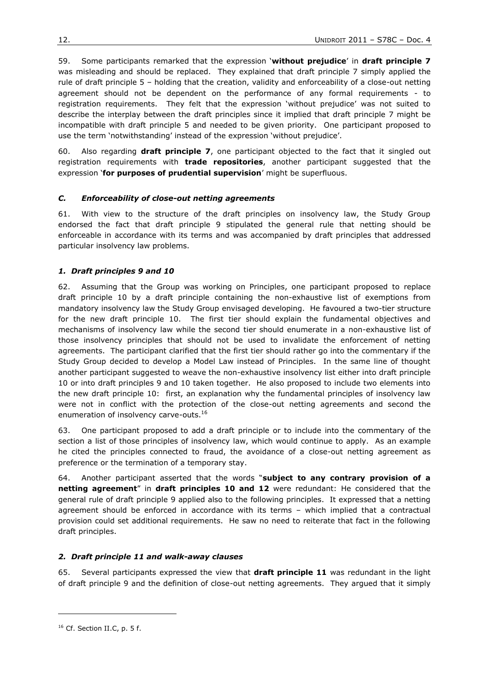59. Some participants remarked that the expression "**without prejudice**" in **draft principle 7** was misleading and should be replaced. They explained that draft principle 7 simply applied the rule of draft principle 5 – holding that the creation, validity and enforceability of a close-out netting agreement should not be dependent on the performance of any formal requirements - to registration requirements. They felt that the expression "without prejudice" was not suited to describe the interplay between the draft principles since it implied that draft principle 7 might be incompatible with draft principle 5 and needed to be given priority. One participant proposed to use the term "notwithstanding" instead of the expression "without prejudice".

60. Also regarding **draft principle 7**, one participant objected to the fact that it singled out registration requirements with **trade repositories**, another participant suggested that the expression "**for purposes of prudential supervision**" might be superfluous.

#### <span id="page-11-0"></span>*C. Enforceability of close-out netting agreements*

61. With view to the structure of the draft principles on insolvency law, the Study Group endorsed the fact that draft principle 9 stipulated the general rule that netting should be enforceable in accordance with its terms and was accompanied by draft principles that addressed particular insolvency law problems.

#### *1. Draft principles 9 and 10*

62. Assuming that the Group was working on Principles, one participant proposed to replace draft principle 10 by a draft principle containing the non-exhaustive list of exemptions from mandatory insolvency law the Study Group envisaged developing. He favoured a two-tier structure for the new draft principle 10. The first tier should explain the fundamental objectives and mechanisms of insolvency law while the second tier should enumerate in a non-exhaustive list of those insolvency principles that should not be used to invalidate the enforcement of netting agreements. The participant clarified that the first tier should rather go into the commentary if the Study Group decided to develop a Model Law instead of Principles. In the same line of thought another participant suggested to weave the non-exhaustive insolvency list either into draft principle 10 or into draft principles 9 and 10 taken together. He also proposed to include two elements into the new draft principle 10: first, an explanation why the fundamental principles of insolvency law were not in conflict with the protection of the close-out netting agreements and second the enumeration of insolvency carve-outs.<sup>16</sup>

63. One participant proposed to add a draft principle or to include into the commentary of the section a list of those principles of insolvency law, which would continue to apply. As an example he cited the principles connected to fraud, the avoidance of a close-out netting agreement as preference or the termination of a temporary stay.

64. Another participant asserted that the words "**subject to any contrary provision of a netting agreement**" in **draft principles 10 and 12** were redundant: He considered that the general rule of draft principle 9 applied also to the following principles. It expressed that a netting agreement should be enforced in accordance with its terms – which implied that a contractual provision could set additional requirements. He saw no need to reiterate that fact in the following draft principles.

#### *2. Draft principle 11 and walk-away clauses*

65. Several participants expressed the view that **draft principle 11** was redundant in the light of draft principle 9 and the definition of close-out netting agreements. They argued that it simply

 $16$  Cf. Section II.C, p. 5 f.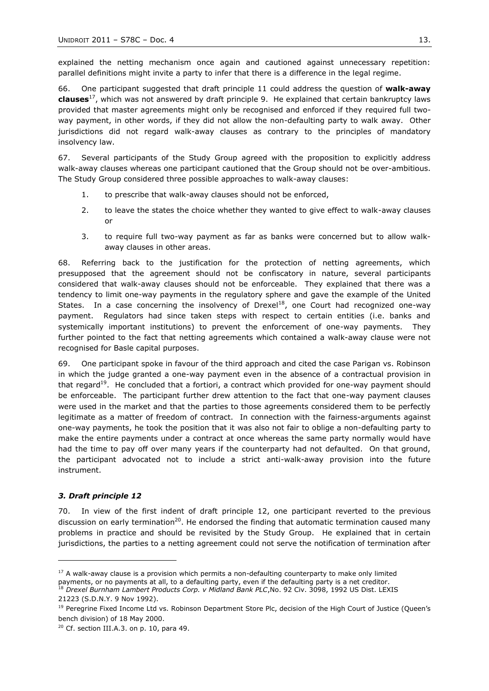explained the netting mechanism once again and cautioned against unnecessary repetition: parallel definitions might invite a party to infer that there is a difference in the legal regime.

66. One participant suggested that draft principle 11 could address the question of **walk-away clauses**<sup>17</sup>, which was not answered by draft principle 9. He explained that certain bankruptcy laws provided that master agreements might only be recognised and enforced if they required full twoway payment, in other words, if they did not allow the non-defaulting party to walk away. Other jurisdictions did not regard walk-away clauses as contrary to the principles of mandatory insolvency law.

67. Several participants of the Study Group agreed with the proposition to explicitly address walk-away clauses whereas one participant cautioned that the Group should not be over-ambitious. The Study Group considered three possible approaches to walk-away clauses:

- 1. to prescribe that walk-away clauses should not be enforced,
- 2. to leave the states the choice whether they wanted to give effect to walk-away clauses or
- 3. to require full two-way payment as far as banks were concerned but to allow walkaway clauses in other areas.

68. Referring back to the justification for the protection of netting agreements, which presupposed that the agreement should not be confiscatory in nature, several participants considered that walk-away clauses should not be enforceable. They explained that there was a tendency to limit one-way payments in the regulatory sphere and gave the example of the United States. In a case concerning the insolvency of Drexel<sup>18</sup>, one Court had recognized one-way payment. Regulators had since taken steps with respect to certain entities (i.e. banks and systemically important institutions) to prevent the enforcement of one-way payments. They further pointed to the fact that netting agreements which contained a walk-away clause were not recognised for Basle capital purposes.

69. One participant spoke in favour of the third approach and cited the case Parigan vs. Robinson in which the judge granted a one-way payment even in the absence of a contractual provision in that regard<sup>19</sup>. He concluded that a fortiori, a contract which provided for one-way payment should be enforceable. The participant further drew attention to the fact that one-way payment clauses were used in the market and that the parties to those agreements considered them to be perfectly legitimate as a matter of freedom of contract. In connection with the fairness-arguments against one-way payments, he took the position that it was also not fair to oblige a non-defaulting party to make the entire payments under a contract at once whereas the same party normally would have had the time to pay off over many years if the counterparty had not defaulted. On that ground, the participant advocated not to include a strict anti-walk-away provision into the future instrument.

## *3. Draft principle 12*

1

70. In view of the first indent of draft principle 12, one participant reverted to the previous discussion on early termination<sup>20</sup>. He endorsed the finding that automatic termination caused many problems in practice and should be revisited by the Study Group. He explained that in certain jurisdictions, the parties to a netting agreement could not serve the notification of termination after

 $17$  A walk-away clause is a provision which permits a non-defaulting counterparty to make only limited payments, or no payments at all, to a defaulting party, even if the defaulting party is a net creditor. <sup>18</sup> Drexel Burnham Lambert Products Corp. v Midland Bank PLC.No. 92 Civ. 3098, 1992 US Dist. LEXIS 21223 (S.D.N.Y. 9 Nov 1992).

<sup>&</sup>lt;sup>19</sup> Peregrine Fixed Income Ltd vs. Robinson Department Store Plc, decision of the High Court of Justice (Queen's bench division) of 18 May 2000.

 $20$  Cf. section III.A.3, on p. 10, para 49.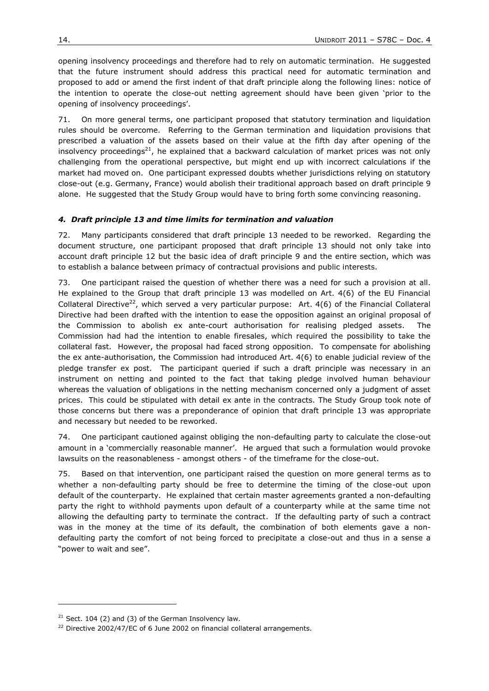opening insolvency proceedings and therefore had to rely on automatic termination. He suggested that the future instrument should address this practical need for automatic termination and proposed to add or amend the first indent of that draft principle along the following lines: notice of the intention to operate the close-out netting agreement should have been given "prior to the opening of insolvency proceedings'.

71. On more general terms, one participant proposed that statutory termination and liquidation rules should be overcome. Referring to the German termination and liquidation provisions that prescribed a valuation of the assets based on their value at the fifth day after opening of the insolvency proceedings<sup>21</sup>, he explained that a backward calculation of market prices was not only challenging from the operational perspective, but might end up with incorrect calculations if the market had moved on. One participant expressed doubts whether jurisdictions relying on statutory close-out (e.g. Germany, France) would abolish their traditional approach based on draft principle 9 alone. He suggested that the Study Group would have to bring forth some convincing reasoning.

#### *4. Draft principle 13 and time limits for termination and valuation*

72. Many participants considered that draft principle 13 needed to be reworked. Regarding the document structure, one participant proposed that draft principle 13 should not only take into account draft principle 12 but the basic idea of draft principle 9 and the entire section, which was to establish a balance between primacy of contractual provisions and public interests.

73. One participant raised the question of whether there was a need for such a provision at all. He explained to the Group that draft principle 13 was modelled on Art. 4(6) of the EU Financial Collateral Directive<sup>22</sup>, which served a very particular purpose: Art.  $4(6)$  of the Financial Collateral Directive had been drafted with the intention to ease the opposition against an original proposal of the Commission to abolish ex ante-court authorisation for realising pledged assets. The Commission had had the intention to enable firesales, which required the possibility to take the collateral fast. However, the proposal had faced strong opposition. To compensate for abolishing the ex ante-authorisation, the Commission had introduced Art. 4(6) to enable judicial review of the pledge transfer ex post. The participant queried if such a draft principle was necessary in an instrument on netting and pointed to the fact that taking pledge involved human behaviour whereas the valuation of obligations in the netting mechanism concerned only a judgment of asset prices. This could be stipulated with detail ex ante in the contracts. The Study Group took note of those concerns but there was a preponderance of opinion that draft principle 13 was appropriate and necessary but needed to be reworked.

74. One participant cautioned against obliging the non-defaulting party to calculate the close-out amount in a 'commercially reasonable manner'. He argued that such a formulation would provoke lawsuits on the reasonableness - amongst others - of the timeframe for the close-out.

75. Based on that intervention, one participant raised the question on more general terms as to whether a non-defaulting party should be free to determine the timing of the close-out upon default of the counterparty. He explained that certain master agreements granted a non-defaulting party the right to withhold payments upon default of a counterparty while at the same time not allowing the defaulting party to terminate the contract. If the defaulting party of such a contract was in the money at the time of its default, the combination of both elements gave a nondefaulting party the comfort of not being forced to precipitate a close-out and thus in a sense a "power to wait and see".

 $21$  Sect. 104 (2) and (3) of the German Insolvency law.

 $22$  Directive 2002/47/EC of 6 June 2002 on financial collateral arrangements.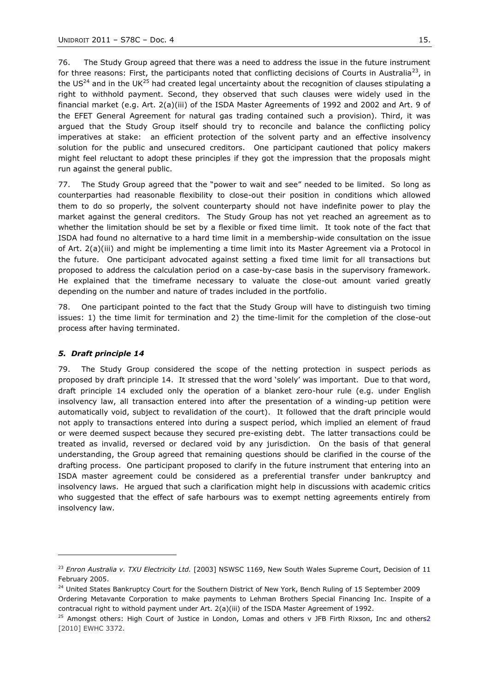76. The Study Group agreed that there was a need to address the issue in the future instrument for three reasons: First, the participants noted that conflicting decisions of Courts in Australia<sup>23</sup>, in the US<sup>24</sup> and in the UK<sup>25</sup> had created legal uncertainty about the recognition of clauses stipulating a right to withhold payment. Second, they observed that such clauses were widely used in the financial market (e.g. Art. 2(a)(iii) of the ISDA Master Agreements of 1992 and 2002 and Art. 9 of the EFET General Agreement for natural gas trading contained such a provision). Third, it was argued that the Study Group itself should try to reconcile and balance the conflicting policy imperatives at stake: an efficient protection of the solvent party and an effective insolvency solution for the public and unsecured creditors. One participant cautioned that policy makers might feel reluctant to adopt these principles if they got the impression that the proposals might run against the general public.

77. The Study Group agreed that the "power to wait and see" needed to be limited. So long as counterparties had reasonable flexibility to close-out their position in conditions which allowed them to do so properly, the solvent counterparty should not have indefinite power to play the market against the general creditors. The Study Group has not yet reached an agreement as to whether the limitation should be set by a flexible or fixed time limit. It took note of the fact that ISDA had found no alternative to a hard time limit in a membership-wide consultation on the issue of Art. 2(a)(iii) and might be implementing a time limit into its Master Agreement via a Protocol in the future. One participant advocated against setting a fixed time limit for all transactions but proposed to address the calculation period on a case-by-case basis in the supervisory framework. He explained that the timeframe necessary to valuate the close-out amount varied greatly depending on the number and nature of trades included in the portfolio.

78. One participant pointed to the fact that the Study Group will have to distinguish two timing issues: 1) the time limit for termination and 2) the time-limit for the completion of the close-out process after having terminated.

## *5. Draft principle 14*

-

79. The Study Group considered the scope of the netting protection in suspect periods as proposed by draft principle 14. It stressed that the word "solely" was important. Due to that word, draft principle 14 excluded only the operation of a blanket zero-hour rule (e.g. under English insolvency law, all transaction entered into after the presentation of a winding-up petition were automatically void, subject to revalidation of the court). It followed that the draft principle would not apply to transactions entered into during a suspect period, which implied an element of fraud or were deemed suspect because they secured pre-existing debt. The latter transactions could be treated as invalid, reversed or declared void by any jurisdiction. On the basis of that general understanding, the Group agreed that remaining questions should be clarified in the course of the drafting process. One participant proposed to clarify in the future instrument that entering into an ISDA master agreement could be considered as a preferential transfer under bankruptcy and insolvency laws. He argued that such a clarification might help in discussions with academic critics who suggested that the effect of safe harbours was to exempt netting agreements entirely from insolvency law.

<sup>&</sup>lt;sup>23</sup> Enron Australia v. TXU Electricity Ltd. [2003] NSWSC 1169, New South Wales Supreme Court, Decision of 11 February 2005.

<sup>&</sup>lt;sup>24</sup> United States Bankruptcy Court for the Southern District of New York, Bench Ruling of 15 September 2009 Ordering Metavante Corporation to make payments to Lehman Brothers Special Financing Inc. Inspite of a contracual right to withold payment under Art. 2(a)(iii) of the ISDA Master Agreement of 1992.

 $25$  Amongst others: High Court of Justice in London, Lomas and others v JFB Firth Rixson, Inc and others2 [2010] EWHC 3372.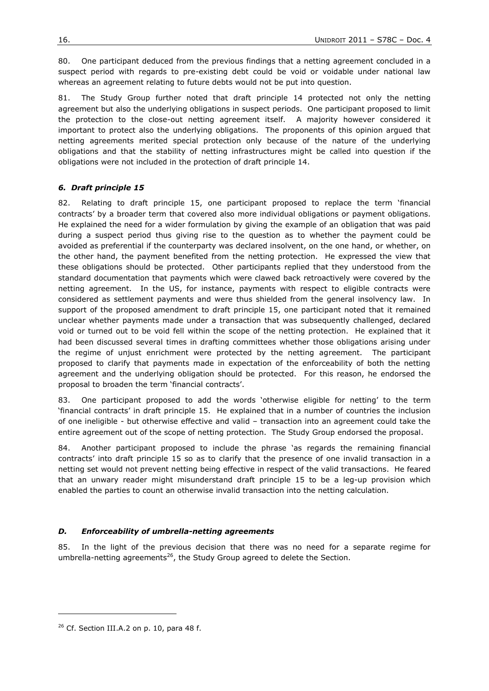80. One participant deduced from the previous findings that a netting agreement concluded in a suspect period with regards to pre-existing debt could be void or voidable under national law whereas an agreement relating to future debts would not be put into question.

81. The Study Group further noted that draft principle 14 protected not only the netting agreement but also the underlying obligations in suspect periods. One participant proposed to limit the protection to the close-out netting agreement itself. A majority however considered it important to protect also the underlying obligations. The proponents of this opinion argued that netting agreements merited special protection only because of the nature of the underlying obligations and that the stability of netting infrastructures might be called into question if the obligations were not included in the protection of draft principle 14.

## *6. Draft principle 15*

82. Relating to draft principle 15, one participant proposed to replace the term "financial contracts" by a broader term that covered also more individual obligations or payment obligations. He explained the need for a wider formulation by giving the example of an obligation that was paid during a suspect period thus giving rise to the question as to whether the payment could be avoided as preferential if the counterparty was declared insolvent, on the one hand, or whether, on the other hand, the payment benefited from the netting protection. He expressed the view that these obligations should be protected. Other participants replied that they understood from the standard documentation that payments which were clawed back retroactively were covered by the netting agreement. In the US, for instance, payments with respect to eligible contracts were considered as settlement payments and were thus shielded from the general insolvency law. In support of the proposed amendment to draft principle 15, one participant noted that it remained unclear whether payments made under a transaction that was subsequently challenged, declared void or turned out to be void fell within the scope of the netting protection. He explained that it had been discussed several times in drafting committees whether those obligations arising under the regime of unjust enrichment were protected by the netting agreement. The participant proposed to clarify that payments made in expectation of the enforceability of both the netting agreement and the underlying obligation should be protected. For this reason, he endorsed the proposal to broaden the term "financial contracts".

83. One participant proposed to add the words "otherwise eligible for netting" to the term "financial contracts" in draft principle 15. He explained that in a number of countries the inclusion of one ineligible - but otherwise effective and valid – transaction into an agreement could take the entire agreement out of the scope of netting protection. The Study Group endorsed the proposal.

84. Another participant proposed to include the phrase 'as regards the remaining financial contracts" into draft principle 15 so as to clarify that the presence of one invalid transaction in a netting set would not prevent netting being effective in respect of the valid transactions. He feared that an unwary reader might misunderstand draft principle 15 to be a leg-up provision which enabled the parties to count an otherwise invalid transaction into the netting calculation.

## <span id="page-15-0"></span>*D. Enforceability of umbrella-netting agreements*

85. In the light of the previous decision that there was no need for a separate regime for umbrella-netting agreements<sup>26</sup>, the Study Group agreed to delete the Section.

 $26$  Cf. Section III.A.2 on p. 10, para 48 f.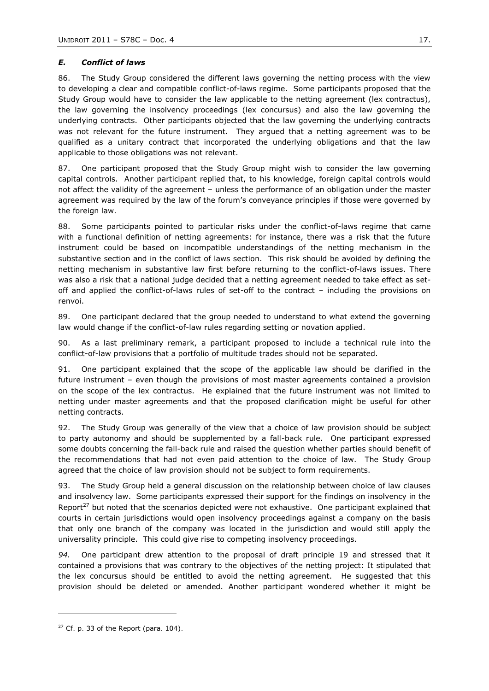## <span id="page-16-0"></span>*E. Conflict of laws*

86. The Study Group considered the different laws governing the netting process with the view to developing a clear and compatible conflict-of-laws regime. Some participants proposed that the Study Group would have to consider the law applicable to the netting agreement (lex contractus), the law governing the insolvency proceedings (lex concursus) and also the law governing the underlying contracts. Other participants objected that the law governing the underlying contracts was not relevant for the future instrument. They argued that a netting agreement was to be qualified as a unitary contract that incorporated the underlying obligations and that the law applicable to those obligations was not relevant.

87. One participant proposed that the Study Group might wish to consider the law governing capital controls. Another participant replied that, to his knowledge, foreign capital controls would not affect the validity of the agreement – unless the performance of an obligation under the master agreement was required by the law of the forum's conveyance principles if those were governed by the foreign law.

88. Some participants pointed to particular risks under the conflict-of-laws regime that came with a functional definition of netting agreements: for instance, there was a risk that the future instrument could be based on incompatible understandings of the netting mechanism in the substantive section and in the conflict of laws section. This risk should be avoided by defining the netting mechanism in substantive law first before returning to the conflict-of-laws issues. There was also a risk that a national judge decided that a netting agreement needed to take effect as setoff and applied the conflict-of-laws rules of set-off to the contract – including the provisions on renvoi.

89. One participant declared that the group needed to understand to what extend the governing law would change if the conflict-of-law rules regarding setting or novation applied.

As a last preliminary remark, a participant proposed to include a technical rule into the conflict-of-law provisions that a portfolio of multitude trades should not be separated.

91. One participant explained that the scope of the applicable law should be clarified in the future instrument – even though the provisions of most master agreements contained a provision on the scope of the lex contractus. He explained that the future instrument was not limited to netting under master agreements and that the proposed clarification might be useful for other netting contracts.

92. The Study Group was generally of the view that a choice of law provision should be subject to party autonomy and should be supplemented by a fall-back rule. One participant expressed some doubts concerning the fall-back rule and raised the question whether parties should benefit of the recommendations that had not even paid attention to the choice of law. The Study Group agreed that the choice of law provision should not be subject to form requirements.

93. The Study Group held a general discussion on the relationship between choice of law clauses and insolvency law. Some participants expressed their support for the findings on insolvency in the Report<sup>27</sup> but noted that the scenarios depicted were not exhaustive. One participant explained that courts in certain jurisdictions would open insolvency proceedings against a company on the basis that only one branch of the company was located in the jurisdiction and would still apply the universality principle. This could give rise to competing insolvency proceedings.

*94.* One participant drew attention to the proposal of draft principle 19 and stressed that it contained a provisions that was contrary to the objectives of the netting project: It stipulated that the lex concursus should be entitled to avoid the netting agreement. He suggested that this provision should be deleted or amended. Another participant wondered whether it might be

 $27$  Cf. p. 33 of the Report (para. 104).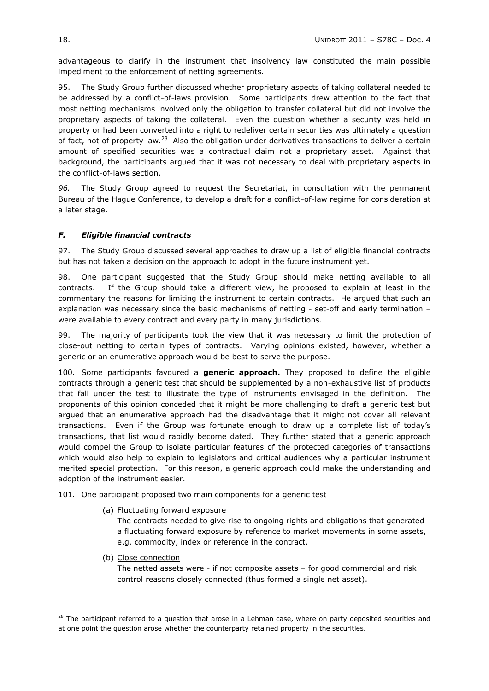advantageous to clarify in the instrument that insolvency law constituted the main possible impediment to the enforcement of netting agreements.

95. The Study Group further discussed whether proprietary aspects of taking collateral needed to be addressed by a conflict-of-laws provision. Some participants drew attention to the fact that most netting mechanisms involved only the obligation to transfer collateral but did not involve the proprietary aspects of taking the collateral. Even the question whether a security was held in property or had been converted into a right to redeliver certain securities was ultimately a question of fact, not of property law.<sup>28</sup> Also the obligation under derivatives transactions to deliver a certain amount of specified securities was a contractual claim not a proprietary asset. Against that background, the participants argued that it was not necessary to deal with proprietary aspects in the conflict-of-laws section.

*96.* The Study Group agreed to request the Secretariat, in consultation with the permanent Bureau of the Hague Conference, to develop a draft for a conflict-of-law regime for consideration at a later stage.

## <span id="page-17-0"></span>*F. Eligible financial contracts*

97. The Study Group discussed several approaches to draw up a list of eligible financial contracts but has not taken a decision on the approach to adopt in the future instrument yet.

98. One participant suggested that the Study Group should make netting available to all contracts. If the Group should take a different view, he proposed to explain at least in the commentary the reasons for limiting the instrument to certain contracts. He argued that such an explanation was necessary since the basic mechanisms of netting - set-off and early termination were available to every contract and every party in many jurisdictions.

99. The majority of participants took the view that it was necessary to limit the protection of close-out netting to certain types of contracts. Varying opinions existed, however, whether a generic or an enumerative approach would be best to serve the purpose.

100. Some participants favoured a **generic approach.** They proposed to define the eligible contracts through a generic test that should be supplemented by a non-exhaustive list of products that fall under the test to illustrate the type of instruments envisaged in the definition. The proponents of this opinion conceded that it might be more challenging to draft a generic test but argued that an enumerative approach had the disadvantage that it might not cover all relevant transactions. Even if the Group was fortunate enough to draw up a complete list of today"s transactions, that list would rapidly become dated. They further stated that a generic approach would compel the Group to isolate particular features of the protected categories of transactions which would also help to explain to legislators and critical audiences why a particular instrument merited special protection. For this reason, a generic approach could make the understanding and adoption of the instrument easier.

101. One participant proposed two main components for a generic test

(a) Fluctuating forward exposure

The contracts needed to give rise to ongoing rights and obligations that generated a fluctuating forward exposure by reference to market movements in some assets, e.g. commodity, index or reference in the contract.

(b) Close connection

-

The netted assets were - if not composite assets – for good commercial and risk control reasons closely connected (thus formed a single net asset).

 $28$  The participant referred to a question that arose in a Lehman case, where on party deposited securities and at one point the question arose whether the counterparty retained property in the securities.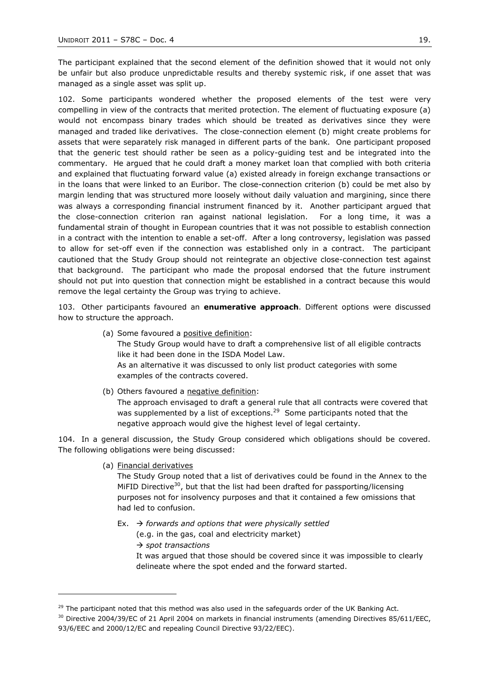The participant explained that the second element of the definition showed that it would not only be unfair but also produce unpredictable results and thereby systemic risk, if one asset that was managed as a single asset was split up.

102. Some participants wondered whether the proposed elements of the test were very compelling in view of the contracts that merited protection. The element of fluctuating exposure (a) would not encompass binary trades which should be treated as derivatives since they were managed and traded like derivatives. The close-connection element (b) might create problems for assets that were separately risk managed in different parts of the bank. One participant proposed that the generic test should rather be seen as a policy-guiding test and be integrated into the commentary. He argued that he could draft a money market loan that complied with both criteria and explained that fluctuating forward value (a) existed already in foreign exchange transactions or in the loans that were linked to an Euribor. The close-connection criterion (b) could be met also by margin lending that was structured more loosely without daily valuation and margining, since there was always a corresponding financial instrument financed by it. Another participant argued that the close-connection criterion ran against national legislation. For a long time, it was a fundamental strain of thought in European countries that it was not possible to establish connection in a contract with the intention to enable a set-off. After a long controversy, legislation was passed to allow for set-off even if the connection was established only in a contract. The participant cautioned that the Study Group should not reintegrate an objective close-connection test against that background. The participant who made the proposal endorsed that the future instrument should not put into question that connection might be established in a contract because this would remove the legal certainty the Group was trying to achieve.

103. Other participants favoured an **enumerative approach**. Different options were discussed how to structure the approach.

(a) Some favoured a positive definition:

The Study Group would have to draft a comprehensive list of all eligible contracts like it had been done in the ISDA Model Law. As an alternative it was discussed to only list product categories with some

examples of the contracts covered.

(b) Others favoured a negative definition:

The approach envisaged to draft a general rule that all contracts were covered that was supplemented by a list of exceptions.<sup>29</sup> Some participants noted that the negative approach would give the highest level of legal certainty.

104. In a general discussion, the Study Group considered which obligations should be covered. The following obligations were being discussed:

(a) Financial derivatives

-

The Study Group noted that a list of derivatives could be found in the Annex to the MiFID Directive<sup>30</sup>, but that the list had been drafted for passporting/licensing purposes not for insolvency purposes and that it contained a few omissions that had led to confusion.

- Ex. *forwards and options that were physically settled*
	- (e.g. in the gas, coal and electricity market) *spot transactions*

It was argued that those should be covered since it was impossible to clearly delineate where the spot ended and the forward started.

 $29$  The participant noted that this method was also used in the safeguards order of the UK Banking Act.

<sup>&</sup>lt;sup>30</sup> Directive 2004/39/EC of 21 April 2004 on markets in financial instruments (amending Directives 85/611/EEC, 93/6/EEC and 2000/12/EC and repealing Council Directive 93/22/EEC).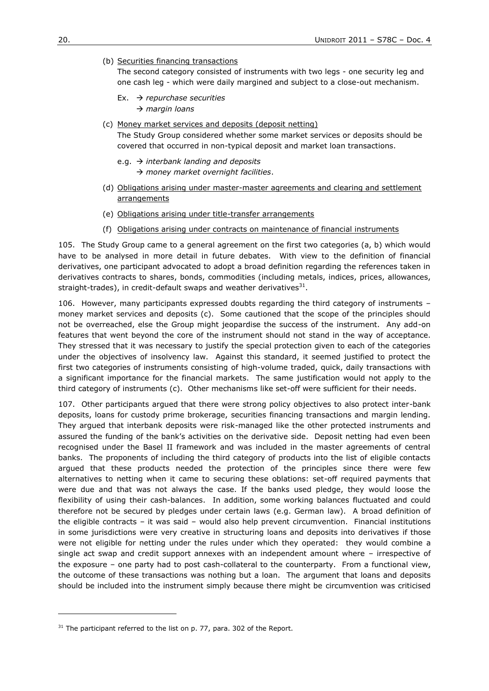(b) Securities financing transactions

The second category consisted of instruments with two legs - one security leg and one cash leg - which were daily margined and subject to a close-out mechanism.

- $Ex. \rightarrow$  *repurchase securities margin loans*
- (c) Money market services and deposits (deposit netting) The Study Group considered whether some market services or deposits should be covered that occurred in non-typical deposit and market loan transactions.
	- e.g.  $\rightarrow$  interbank landing and deposits *money market overnight facilities*.
- (d) Obligations arising under master-master agreements and clearing and settlement arrangements
- (e) Obligations arising under title-transfer arrangements
- (f) Obligations arising under contracts on maintenance of financial instruments

105. The Study Group came to a general agreement on the first two categories (a, b) which would have to be analysed in more detail in future debates. With view to the definition of financial derivatives, one participant advocated to adopt a broad definition regarding the references taken in derivatives contracts to shares, bonds, commodities (including metals, indices, prices, allowances, straight-trades), in credit-default swaps and weather derivatives $^{31}$ .

106. However, many participants expressed doubts regarding the third category of instruments – money market services and deposits (c). Some cautioned that the scope of the principles should not be overreached, else the Group might jeopardise the success of the instrument. Any add-on features that went beyond the core of the instrument should not stand in the way of acceptance. They stressed that it was necessary to justify the special protection given to each of the categories under the objectives of insolvency law. Against this standard, it seemed justified to protect the first two categories of instruments consisting of high-volume traded, quick, daily transactions with a significant importance for the financial markets. The same justification would not apply to the third category of instruments (c). Other mechanisms like set-off were sufficient for their needs.

107. Other participants argued that there were strong policy objectives to also protect inter-bank deposits, loans for custody prime brokerage, securities financing transactions and margin lending. They argued that interbank deposits were risk-managed like the other protected instruments and assured the funding of the bank's activities on the derivative side. Deposit netting had even been recognised under the Basel II framework and was included in the master agreements of central banks. The proponents of including the third category of products into the list of eligible contacts argued that these products needed the protection of the principles since there were few alternatives to netting when it came to securing these oblations: set-off required payments that were due and that was not always the case. If the banks used pledge, they would loose the flexibility of using their cash-balances. In addition, some working balances fluctuated and could therefore not be secured by pledges under certain laws (e.g. German law). A broad definition of the eligible contracts – it was said – would also help prevent circumvention. Financial institutions in some jurisdictions were very creative in structuring loans and deposits into derivatives if those were not eligible for netting under the rules under which they operated: they would combine a single act swap and credit support annexes with an independent amount where – irrespective of the exposure – one party had to post cash-collateral to the counterparty. From a functional view, the outcome of these transactions was nothing but a loan. The argument that loans and deposits should be included into the instrument simply because there might be circumvention was criticised

 $31$  The participant referred to the list on p. 77, para. 302 of the Report.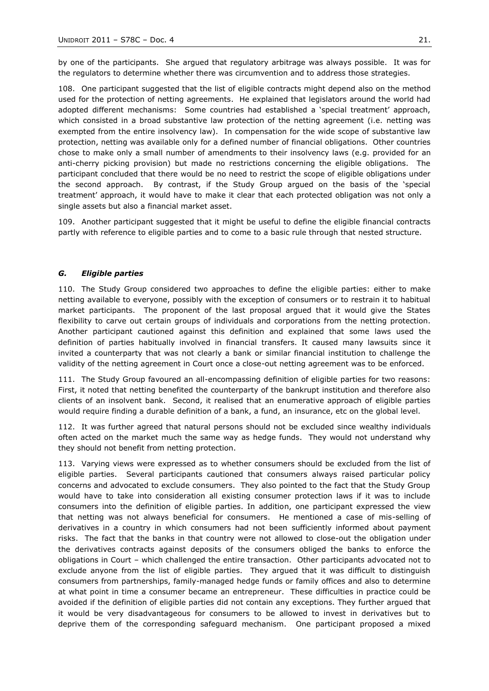by one of the participants. She argued that regulatory arbitrage was always possible. It was for the regulators to determine whether there was circumvention and to address those strategies.

108. One participant suggested that the list of eligible contracts might depend also on the method used for the protection of netting agreements. He explained that legislators around the world had adopted different mechanisms: Some countries had established a "special treatment" approach, which consisted in a broad substantive law protection of the netting agreement (i.e. netting was exempted from the entire insolvency law). In compensation for the wide scope of substantive law protection, netting was available only for a defined number of financial obligations. Other countries chose to make only a small number of amendments to their insolvency laws (e.g. provided for an anti-cherry picking provision) but made no restrictions concerning the eligible obligations. The participant concluded that there would be no need to restrict the scope of eligible obligations under the second approach. By contrast, if the Study Group argued on the basis of the "special treatment" approach, it would have to make it clear that each protected obligation was not only a single assets but also a financial market asset.

109. Another participant suggested that it might be useful to define the eligible financial contracts partly with reference to eligible parties and to come to a basic rule through that nested structure.

#### <span id="page-20-0"></span>*G. Eligible parties*

110. The Study Group considered two approaches to define the eligible parties: either to make netting available to everyone, possibly with the exception of consumers or to restrain it to habitual market participants. The proponent of the last proposal argued that it would give the States flexibility to carve out certain groups of individuals and corporations from the netting protection. Another participant cautioned against this definition and explained that some laws used the definition of parties habitually involved in financial transfers. It caused many lawsuits since it invited a counterparty that was not clearly a bank or similar financial institution to challenge the validity of the netting agreement in Court once a close-out netting agreement was to be enforced.

111. The Study Group favoured an all-encompassing definition of eligible parties for two reasons: First, it noted that netting benefited the counterparty of the bankrupt institution and therefore also clients of an insolvent bank. Second, it realised that an enumerative approach of eligible parties would require finding a durable definition of a bank, a fund, an insurance, etc on the global level.

112. It was further agreed that natural persons should not be excluded since wealthy individuals often acted on the market much the same way as hedge funds. They would not understand why they should not benefit from netting protection.

113. Varying views were expressed as to whether consumers should be excluded from the list of eligible parties. Several participants cautioned that consumers always raised particular policy concerns and advocated to exclude consumers. They also pointed to the fact that the Study Group would have to take into consideration all existing consumer protection laws if it was to include consumers into the definition of eligible parties. In addition, one participant expressed the view that netting was not always beneficial for consumers. He mentioned a case of mis-selling of derivatives in a country in which consumers had not been sufficiently informed about payment risks. The fact that the banks in that country were not allowed to close-out the obligation under the derivatives contracts against deposits of the consumers obliged the banks to enforce the obligations in Court – which challenged the entire transaction. Other participants advocated not to exclude anyone from the list of eligible parties. They argued that it was difficult to distinguish consumers from partnerships, family-managed hedge funds or family offices and also to determine at what point in time a consumer became an entrepreneur. These difficulties in practice could be avoided if the definition of eligible parties did not contain any exceptions. They further argued that it would be very disadvantageous for consumers to be allowed to invest in derivatives but to deprive them of the corresponding safeguard mechanism. One participant proposed a mixed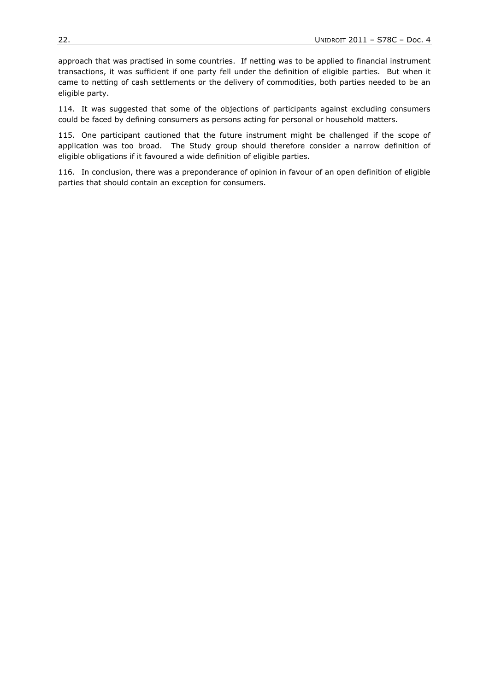approach that was practised in some countries. If netting was to be applied to financial instrument transactions, it was sufficient if one party fell under the definition of eligible parties. But when it came to netting of cash settlements or the delivery of commodities, both parties needed to be an eligible party.

114. It was suggested that some of the objections of participants against excluding consumers could be faced by defining consumers as persons acting for personal or household matters.

115. One participant cautioned that the future instrument might be challenged if the scope of application was too broad. The Study group should therefore consider a narrow definition of eligible obligations if it favoured a wide definition of eligible parties.

116. In conclusion, there was a preponderance of opinion in favour of an open definition of eligible parties that should contain an exception for consumers.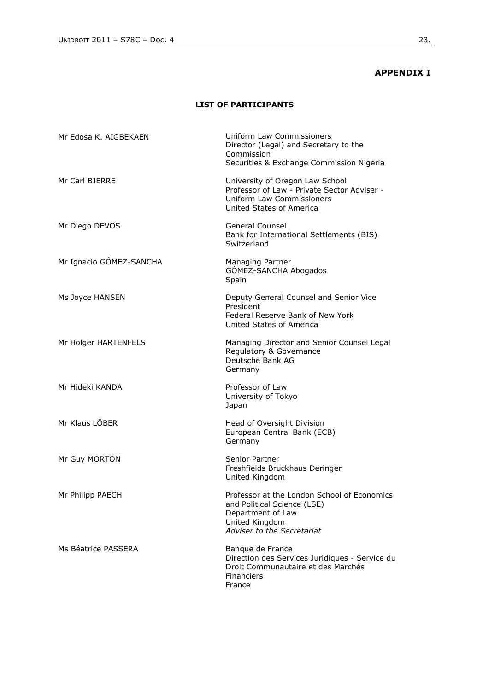## **APPENDIX I**

# **LIST OF PARTICIPANTS**

<span id="page-22-0"></span>

| Mr Edosa K. AIGBEKAEN   | Uniform Law Commissioners<br>Director (Legal) and Secretary to the<br>Commission<br>Securities & Exchange Commission Nigeria                    |
|-------------------------|-------------------------------------------------------------------------------------------------------------------------------------------------|
| Mr Carl BJERRE          | University of Oregon Law School<br>Professor of Law - Private Sector Adviser -<br>Uniform Law Commissioners<br>United States of America         |
| Mr Diego DEVOS          | General Counsel<br>Bank for International Settlements (BIS)<br>Switzerland                                                                      |
| Mr Ignacio GÓMEZ-SANCHA | Managing Partner<br>GÓMEZ-SANCHA Abogados<br>Spain                                                                                              |
| Ms Joyce HANSEN         | Deputy General Counsel and Senior Vice<br>President<br>Federal Reserve Bank of New York<br>United States of America                             |
| Mr Holger HARTENFELS    | Managing Director and Senior Counsel Legal<br>Regulatory & Governance<br>Deutsche Bank AG<br>Germany                                            |
| Mr Hideki KANDA         | Professor of Law<br>University of Tokyo<br>Japan                                                                                                |
| Mr Klaus LÖBER          | Head of Oversight Division<br>European Central Bank (ECB)<br>Germany                                                                            |
| Mr Guy MORTON           | Senior Partner<br>Freshfields Bruckhaus Deringer<br>United Kingdom                                                                              |
| Mr Philipp PAECH        | Professor at the London School of Economics<br>and Political Science (LSE)<br>Department of Law<br>United Kingdom<br>Adviser to the Secretariat |
| Ms Béatrice PASSERA     | Banque de France<br>Direction des Services Juridiques - Service du<br>Droit Communautaire et des Marchés<br><b>Financiers</b><br>France         |
|                         |                                                                                                                                                 |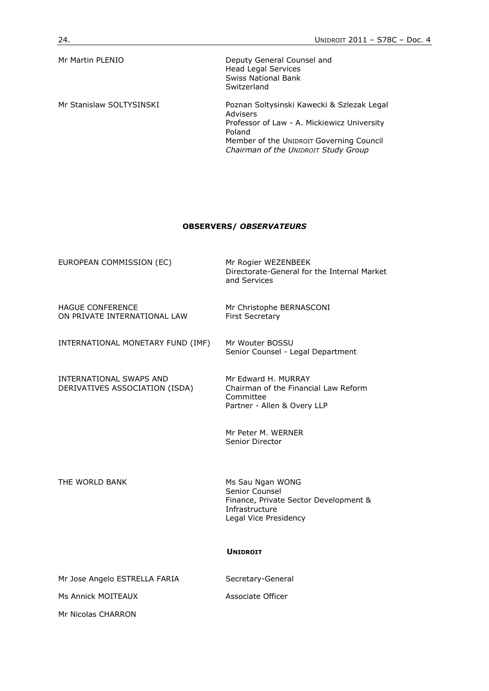| Mr Martin PLENIO         | Deputy General Counsel and<br><b>Head Legal Services</b><br><b>Swiss National Bank</b><br>Switzerland                                                                                               |
|--------------------------|-----------------------------------------------------------------------------------------------------------------------------------------------------------------------------------------------------|
| Mr Stanislaw SOLTYSINSKI | Poznan Soltysinski Kawecki & Szlezak Legal<br>Advisers<br>Professor of Law - A. Mickiewicz University<br>Poland<br>Member of the UNIDROIT Governing Council<br>Chairman of the UNIDROIT Study Group |

#### **OBSERVERS/** *OBSERVATEURS*

| EUROPEAN COMMISSION (EC)                                  | Mr Rogier WEZENBEEK<br>Directorate-General for the Internal Market<br>and Services                                     |
|-----------------------------------------------------------|------------------------------------------------------------------------------------------------------------------------|
| HAGUE CONFERENCE<br>ON PRIVATE INTERNATIONAL LAW          | Mr Christophe BERNASCONI<br><b>First Secretary</b>                                                                     |
| INTERNATIONAL MONETARY FUND (IMF)                         | Mr Wouter BOSSU<br>Senior Counsel - Legal Department                                                                   |
| INTERNATIONAL SWAPS AND<br>DERIVATIVES ASSOCIATION (ISDA) | Mr Edward H. MURRAY<br>Chairman of the Financial Law Reform<br>Committee<br>Partner - Allen & Overy LLP                |
|                                                           | Mr Peter M. WERNER<br>Senior Director                                                                                  |
| THE WORLD BANK                                            | Ms Sau Ngan WONG<br>Senior Counsel<br>Finance, Private Sector Development &<br>Infrastructure<br>Legal Vice Presidency |
|                                                           | <b>UNIDROIT</b>                                                                                                        |
| Mr Jose Angelo ESTRELLA FARIA                             | Secretary-General                                                                                                      |
| Ms Annick MOITEAUX                                        | Associate Officer                                                                                                      |
| Mr Nicolas CHARRON                                        |                                                                                                                        |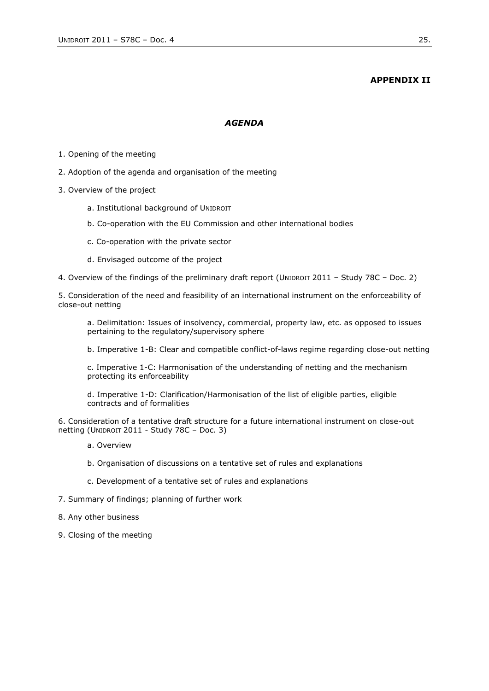## **APPENDIX II**

#### *AGENDA*

- <span id="page-24-0"></span>1. Opening of the meeting
- 2. Adoption of the agenda and organisation of the meeting
- 3. Overview of the project
	- a. Institutional background of UNIDROIT
	- b. Co-operation with the EU Commission and other international bodies
	- c. Co-operation with the private sector
	- d. Envisaged outcome of the project
- 4. Overview of the findings of the preliminary draft report (UNIDROIT 2011 Study 78C Doc. 2)

5. Consideration of the need and feasibility of an international instrument on the enforceability of close-out netting

a. Delimitation: Issues of insolvency, commercial, property law, etc. as opposed to issues pertaining to the regulatory/supervisory sphere

b. Imperative 1-B: Clear and compatible conflict-of-laws regime regarding close-out netting

c. Imperative 1-C: Harmonisation of the understanding of netting and the mechanism protecting its enforceability

d. Imperative 1-D: Clarification/Harmonisation of the list of eligible parties, eligible contracts and of formalities

6. Consideration of a tentative draft structure for a future international instrument on close-out netting (UNIDROIT 2011 - Study 78C – Doc. 3)

- a. Overview
- b. Organisation of discussions on a tentative set of rules and explanations
- c. Development of a tentative set of rules and explanations
- 7. Summary of findings; planning of further work
- 8. Any other business
- 9. Closing of the meeting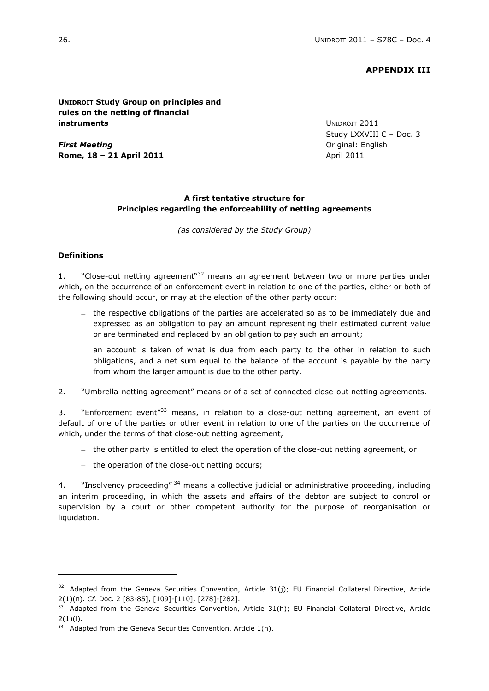#### **APPENDIX III**

<span id="page-25-0"></span>**UNIDROIT Study Group on principles and rules on the netting of financial instruments**

*First Meeting* **Rome, 18 – 21 April 2011** UNIDROIT 2011 Study LXXVIII C – Doc. 3 Original: English April 2011

## **A first tentative structure for Principles regarding the enforceability of netting agreements**

*(as considered by the Study Group)*

#### **Definitions**

-

1. "Close-out netting agreement"<sup>32</sup> means an agreement between two or more parties under which, on the occurrence of an enforcement event in relation to one of the parties, either or both of the following should occur, or may at the election of the other party occur:

- $-$  the respective obligations of the parties are accelerated so as to be immediately due and expressed as an obligation to pay an amount representing their estimated current value or are terminated and replaced by an obligation to pay such an amount;
- $-$  an account is taken of what is due from each party to the other in relation to such obligations, and a net sum equal to the balance of the account is payable by the party from whom the larger amount is due to the other party.
- 2. "Umbrella-netting agreement" means or of a set of connected close-out netting agreements.

3. "Enforcement event"<sup>33</sup> means, in relation to a close-out netting agreement, an event of default of one of the parties or other event in relation to one of the parties on the occurrence of which, under the terms of that close-out netting agreement,

- the other party is entitled to elect the operation of the close-out netting agreement, or
- the operation of the close-out netting occurs;

4. Tinsolvency proceeding <sup>34</sup> means a collective judicial or administrative proceeding, including an interim proceeding, in which the assets and affairs of the debtor are subject to control or supervision by a court or other competent authority for the purpose of reorganisation or liquidation.

 $32$  Adapted from the Geneva Securities Convention, Article 31(j); EU Financial Collateral Directive, Article 2(1)(n). *Cf.* Doc. 2 [83-85], [109]-[110], [278]-[282].

<sup>&</sup>lt;sup>33</sup> Adapted from the Geneva Securities Convention, Article 31(h): EU Financial Collateral Directive, Article 2(1)(l).

 $34$  Adapted from the Geneva Securities Convention, Article 1(h).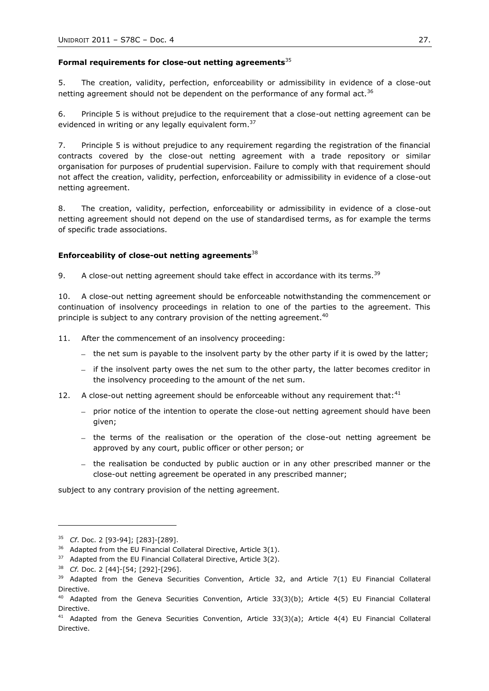#### **Formal requirements for close-out netting agreements**<sup>35</sup>

<span id="page-26-0"></span>5. The creation, validity, perfection, enforceability or admissibility in evidence of a close-out netting agreement should not be dependent on the performance of any formal act.<sup>36</sup>

6. Principle [5](#page-26-0) is without prejudice to the requirement that a close-out netting agreement can be evidenced in writing or any legally equivalent form.<sup>37</sup>

7. Principle [5](#page-26-0) is without prejudice to any requirement regarding the registration of the financial contracts covered by the close-out netting agreement with a trade repository or similar organisation for purposes of prudential supervision. Failure to comply with that requirement should not affect the creation, validity, perfection, enforceability or admissibility in evidence of a close-out netting agreement.

8. The creation, validity, perfection, enforceability or admissibility in evidence of a close-out netting agreement should not depend on the use of standardised terms, as for example the terms of specific trade associations.

## **Enforceability of close-out netting agreements**<sup>38</sup>

<span id="page-26-2"></span>9. A close-out netting agreement should take effect in accordance with its terms.<sup>39</sup>

10. A close-out netting agreement should be enforceable notwithstanding the commencement or continuation of insolvency proceedings in relation to one of the parties to the agreement. This principle is subject to any contrary provision of the netting agreement.<sup>40</sup>

11. After the commencement of an insolvency proceeding:

- $-$  the net sum is payable to the insolvent party by the other party if it is owed by the latter;
- $\overline{\phantom{a}}$  if the insolvent party owes the net sum to the other party, the latter becomes creditor in the insolvency proceeding to the amount of the net sum.
- <span id="page-26-1"></span>12. A close-out netting agreement should be enforceable without any requirement that: $41$ 
	- prior notice of the intention to operate the close-out netting agreement should have been given;
	- $-$  the terms of the realisation or the operation of the close-out netting agreement be approved by any court, public officer or other person; or
	- $-$  the realisation be conducted by public auction or in any other prescribed manner or the close-out netting agreement be operated in any prescribed manner;

subject to any contrary provision of the netting agreement.

<sup>35</sup> *Cf*. Doc. 2 [93-94]; [283]-[289].

 $36$  Adapted from the EU Financial Collateral Directive, Article 3(1).

 $37$  Adapted from the EU Financial Collateral Directive, Article 3(2).

<sup>38</sup> *Cf.* Doc. 2 [44]-[54; [292]-[296].

 $39$  Adapted from the Geneva Securities Convention, Article 32, and Article 7(1) EU Financial Collateral Directive.

<sup>40</sup> Adapted from the Geneva Securities Convention, Article 33(3)(b); Article 4(5) EU Financial Collateral Directive.

<sup>&</sup>lt;sup>41</sup> Adapted from the Geneva Securities Convention, Article 33(3)(a); Article 4(4) EU Financial Collateral Directive.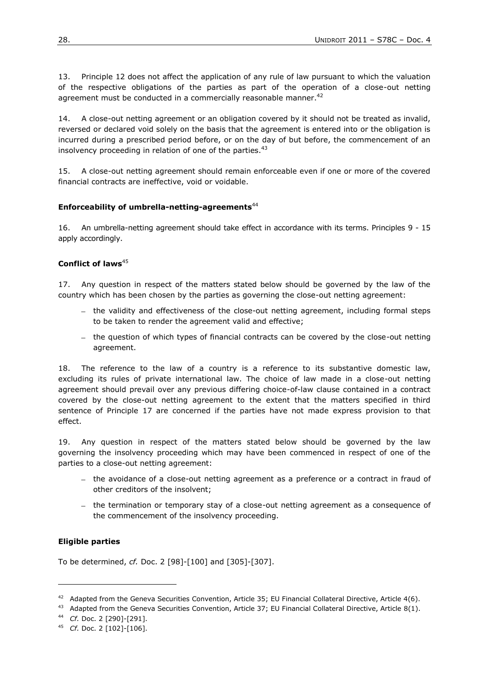13. Principle [12](#page-26-1) does not affect the application of any rule of law pursuant to which the valuation of the respective obligations of the parties as part of the operation of a close-out netting agreement must be conducted in a commercially reasonable manner. $42$ 

14. A close-out netting agreement or an obligation covered by it should not be treated as invalid, reversed or declared void solely on the basis that the agreement is entered into or the obligation is incurred during a prescribed period before, or on the day of but before, the commencement of an insolvency proceeding in relation of one of the parties. $43$ 

<span id="page-27-0"></span>15. A close-out netting agreement should remain enforceable even if one or more of the covered financial contracts are ineffective, void or voidable.

#### **Enforceability of umbrella-netting-agreements**<sup>44</sup>

16. An umbrella-netting agreement should take effect in accordance with its terms. Principles [9](#page-26-2) - [15](#page-27-0) apply accordingly.

#### **Conflict of laws**<sup>45</sup>

<span id="page-27-1"></span>17. Any question in respect of the matters stated below should be governed by the law of the country which has been chosen by the parties as governing the close-out netting agreement:

- $-$  the validity and effectiveness of the close-out netting agreement, including formal steps to be taken to render the agreement valid and effective;
- the question of which types of financial contracts can be covered by the close-out netting agreement.

18. The reference to the law of a country is a reference to its substantive domestic law, excluding its rules of private international law. The choice of law made in a close-out netting agreement should prevail over any previous differing choice-of-law clause contained in a contract covered by the close-out netting agreement to the extent that the matters specified in third sentence of Principle [17](#page-27-1) are concerned if the parties have not made express provision to that effect.

19. Any question in respect of the matters stated below should be governed by the law governing the insolvency proceeding which may have been commenced in respect of one of the parties to a close-out netting agreement:

- $-$  the avoidance of a close-out netting agreement as a preference or a contract in fraud of other creditors of the insolvent;
- the termination or temporary stay of a close-out netting agreement as a consequence of the commencement of the insolvency proceeding.

## **Eligible parties**

-

To be determined, *cf.* Doc. 2 [98]-[100] and [305]-[307].

<sup>&</sup>lt;sup>42</sup> Adapted from the Geneva Securities Convention, Article 35; EU Financial Collateral Directive, Article 4(6).

<sup>&</sup>lt;sup>43</sup> Adapted from the Geneva Securities Convention, Article 37; EU Financial Collateral Directive, Article 8(1).

<sup>44</sup> *Cf.* Doc. 2 [290]-[291].

<sup>45</sup> *Cf.* Doc. 2 [102]-[106].